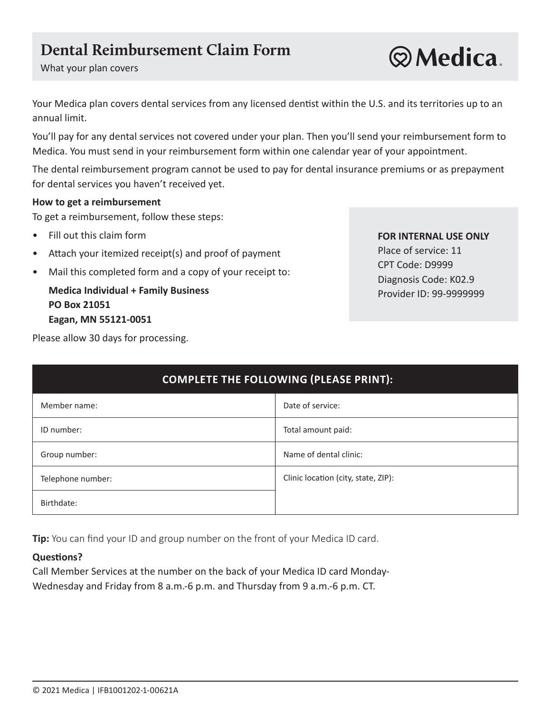# **Dental Reimbursement Claim Form**

What your plan covers

Your Medica plan covers dental services from any licensed dentist within the U.S. and its territories up to an annual limit.

You'll pay for any dental services not covered under your plan. Then you'll send your reimbursement form to Medica. You must send in your reimbursement form within one calendar year of your appointment.

The dental reimbursement program cannot be used to pay for dental insurance premiums or as prepayment for dental services you haven't received yet.

#### **How to get a reimbursement**

To get a reimbursement, follow these steps:

- Fill out this claim form **FOR INTERNAL USE ONLY**
- Place of service: 11 Attach your itemized receipt(s) and proof of payment
- Mail this completed form and a copy of your receipt to:<br>Diagnosis Code: K02.9

**Medica Individual + Family Business Provider ID: 99-999999999999999999999999999 PO Box 21051 Eagan, MN 55121-0051** 

CPT Code: D9999

Please allow 30 days for processing.

| <b>COMPLETE THE FOLLOWING (PLEASE PRINT):</b> |                                     |
|-----------------------------------------------|-------------------------------------|
| Member name:                                  | Date of service:                    |
| ID number:                                    | Total amount paid:                  |
| Group number:                                 | Name of dental clinic:              |
| Telephone number:                             | Clinic location (city, state, ZIP): |
| Birthdate:                                    |                                     |

**Tip:** You can find your ID and group number on the front of your Medica ID card.

#### **Questions?**

Call Member Services at the number on the back of your Medica ID card Monday-Wednesday and Friday from 8 a.m.-6 p.m. and Thursday from 9 a.m.-6 p.m. CT.

**Q**Medica.